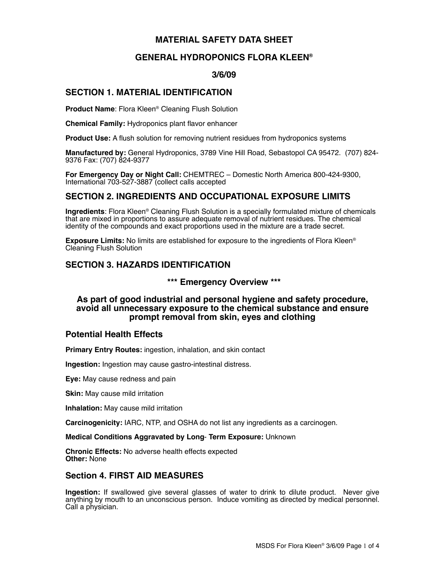# **MATERIAL SAFETY DATA SHEET**

# **GENERAL HYDROPONICS FLORA KLEEN®**

### **3/6/09**

# **SECTION 1. MATERIAL IDENTIFICATION**

**Product Name**: Flora Kleen® Cleaning Flush Solution

**Chemical Family:** Hydroponics plant flavor enhancer

**Product Use:** A flush solution for removing nutrient residues from hydroponics systems

**Manufactured by:** General Hydroponics, 3789 Vine Hill Road, Sebastopol CA 95472. (707) 824- 9376 Fax: (707) 824-9377

**For Emergency Day or Night Call:** CHEMTREC – Domestic North America 800-424-9300, International 703-527-3887 (collect calls accepted

# **SECTION 2. INGREDIENTS AND OCCUPATIONAL EXPOSURE LIMITS**

**Ingredients**: Flora Kleen® Cleaning Flush Solution is a specially formulated mixture of chemicals that are mixed in proportions to assure adequate removal of nutrient residues. The chemical identity of the compounds and exact proportions used in the mixture are a trade secret.

**Exposure Limits:** No limits are established for exposure to the ingredients of Flora Kleen® Cleaning Flush Solution

# **SECTION 3. HAZARDS IDENTIFICATION**

### **\*\*\* Emergency Overview \*\*\***

### **As part of good industrial and personal hygiene and safety procedure, avoid all unnecessary exposure to the chemical substance and ensure prompt removal from skin, eyes and clothing**

#### **Potential Health Effects**

**Primary Entry Routes:** ingestion, inhalation, and skin contact

**Ingestion:** Ingestion may cause gastro-intestinal distress.

**Eye:** May cause redness and pain

**Skin:** May cause mild irritation

**Inhalation:** May cause mild irritation

**Carcinogenicity:** IARC, NTP, and OSHA do not list any ingredients as a carcinogen.

**Medical Conditions Aggravated by Long**- **Term Exposure:** Unknown

**Chronic Effects:** No adverse health effects expected **Other:** None

# **Section 4. FIRST AID MEASURES**

**Ingestion:** If swallowed give several glasses of water to drink to dilute product. Never give anything by mouth to an unconscious person.Induce vomiting as directed by medical personnel. Call a physician.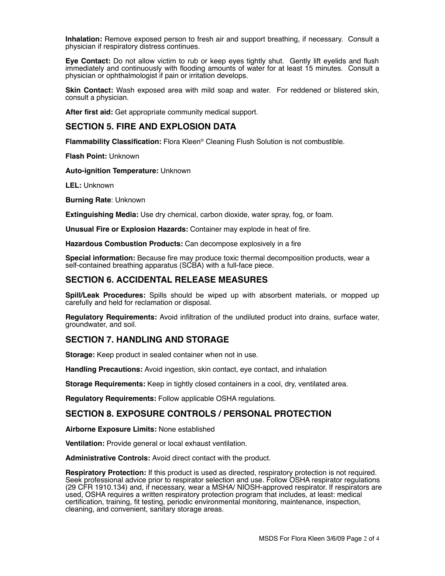**Inhalation:** Remove exposed person to fresh air and support breathing, if necessary. Consult a physician if respiratory distress continues.

**Eye Contact:** Do not allow victim to rub or keep eyes tightly shut. Gently lift eyelids and flush immediately and continuously with flooding amounts of water for at least 15 minutes. Consult a physician or ophthalmologist if pain or irritation develops.

**Skin Contact:** Wash exposed area with mild soap and water. For reddened or blistered skin, consult a physician.

**After first aid:** Get appropriate community medical support.

#### **SECTION 5. FIRE AND EXPLOSION DATA**

**Flammability Classification:** Flora Kleen® Cleaning Flush Solution is not combustible.

**Flash Point:** Unknown

**Auto-ignition Temperature:** Unknown

**LEL:** Unknown

**Burning Rate**: Unknown

**Extinguishing Media:** Use dry chemical, carbon dioxide, water spray, fog, or foam.

**Unusual Fire or Explosion Hazards:** Container may explode in heat of fire.

**Hazardous Combustion Products:** Can decompose explosively in a fire

**Special information:** Because fire may produce toxic thermal decomposition products, wear a self-contained breathing apparatus (SCBA) with a full-face piece.

## **SECTION 6. ACCIDENTAL RELEASE MEASURES**

**Spill/Leak Procedures:** Spills should be wiped up with absorbent materials, or mopped up carefully and held for reclamation or disposal.

**Regulatory Requirements:** Avoid infiltration of the undiluted product into drains, surface water, groundwater, and soil.

#### **SECTION 7. HANDLING AND STORAGE**

**Storage:** Keep product in sealed container when not in use.

**Handling Precautions:** Avoid ingestion, skin contact, eye contact, and inhalation

**Storage Requirements:** Keep in tightly closed containers in a cool, dry, ventilated area.

**Regulatory Requirements:** Follow applicable OSHA regulations.

#### **SECTION 8. EXPOSURE CONTROLS / PERSONAL PROTECTION**

**Airborne Exposure Limits:** None established

**Ventilation:** Provide general or local exhaust ventilation.

**Administrative Controls:** Avoid direct contact with the product.

**Respiratory Protection:** If this product is used as directed, respiratory protection is not required. Seek professional advice prior to respirator selection and use. Follow OSHA respirator regulations (29 CFR 1910.134) and, if necessary, wear a MSHA/ NIOSH-approved respirator. If respirators are used, OSHA requires a written respiratory protection program that includes, at least: medical certification, training, fit testing, periodic environmental monitoring, maintenance, inspection, cleaning, and convenient, sanitary storage areas.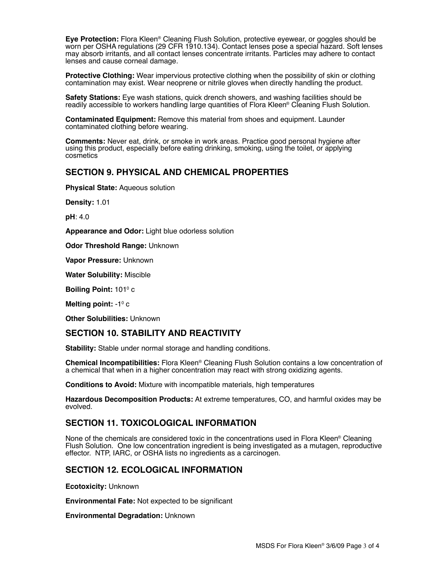**Eye Protection:** Flora Kleen® Cleaning Flush Solution, protective eyewear, or goggles should be worn per OSHA regulations (29 CFR 1910.134). Contact lenses pose a special hazard. Soft lenses may absorb irritants, and all contact lenses concentrate irritants. Particles may adhere to contact lenses and cause corneal damage.

**Protective Clothing:** Wear impervious protective clothing when the possibility of skin or clothing contamination may exist. Wear neoprene or nitrile gloves when directly handling the product.

**Safety Stations:** Eye wash stations, quick drench showers, and washing facilities should be readily accessible to workers handling large quantities of Flora Kleen® Cleaning Flush Solution.

**Contaminated Equipment:** Remove this material from shoes and equipment. Launder contaminated clothing before wearing.

**Comments:** Never eat, drink, or smoke in work areas. Practice good personal hygiene after using this product, especially before eating drinking, smoking, using the toilet, or applying cosmetics

## **SECTION 9. PHYSICAL AND CHEMICAL PROPERTIES**

**Physical State:** Aqueous solution

**Density:** 1.01

**pH**: 4.0

**Appearance and Odor:** Light blue odorless solution

**Odor Threshold Range:** Unknown

**Vapor Pressure:** Unknown

**Water Solubility:** Miscible

**Boiling Point: 101<sup>°</sup> c** 

**Melting point: -1º c** 

**Other Solubilities:** Unknown

#### **SECTION 10. STABILITY AND REACTIVITY**

**Stability:** Stable under normal storage and handling conditions.

**Chemical Incompatibilities:** Flora Kleen® Cleaning Flush Solution contains a low concentration of a chemical that when in a higher concentration may react with strong oxidizing agents.

**Conditions to Avoid:** Mixture with incompatible materials, high temperatures

**Hazardous Decomposition Products:** At extreme temperatures, CO, and harmful oxides may be evolved.

#### **SECTION 11. TOXICOLOGICAL INFORMATION**

None of the chemicals are considered toxic in the concentrations used in Flora Kleen® Cleaning Flush Solution. One low concentration ingredient is being investigated as a mutagen, reproductive effector. NTP, IARC, or OSHA lists no ingredients as a carcinogen.

# **SECTION 12. ECOLOGICAL INFORMATION**

**Ecotoxicity:** Unknown

**Environmental Fate:** Not expected to be significant

**Environmental Degradation:** Unknown